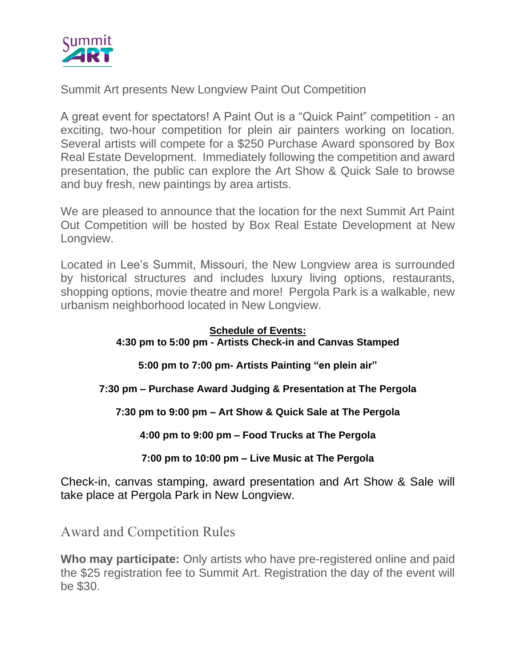

Summit Art presents New Longview Paint Out Competition

A great event for spectators! A Paint Out is a "Quick Paint" competition - an exciting, two-hour competition for plein air painters working on location. Several artists will compete for a \$250 Purchase Award sponsored by Box Real Estate Development. Immediately following the competition and award presentation, the public can explore the Art Show & Quick Sale to browse and buy fresh, new paintings by area artists.

We are pleased to announce that the location for the next Summit Art Paint Out Competition will be hosted by Box Real Estate Development at New Longview.

Located in Lee's Summit, Missouri, the New Longview area is surrounded by historical structures and includes luxury living options, restaurants, shopping options, movie theatre and more! Pergola Park is a walkable, new urbanism neighborhood located in New Longview.

### **Schedule of Events: 4:30 pm to 5:00 pm - Artists Check-in and Canvas Stamped**

**5:00 pm to 7:00 pm- Artists Painting "en plein air"**

### **7:30 pm – Purchase Award Judging & Presentation at The Pergola**

**7:30 pm to 9:00 pm – Art Show & Quick Sale at The Pergola**

**4:00 pm to 9:00 pm – Food Trucks at The Pergola**

### **7:00 pm to 10:00 pm – Live Music at The Pergola**

Check-in, canvas stamping, award presentation and Art Show & Sale will take place at Pergola Park in New Longview.

Award and Competition Rules

**Who may participate:** Only artists who have pre-registered online and paid the \$25 registration fee to Summit Art. Registration the day of the event will be \$30.